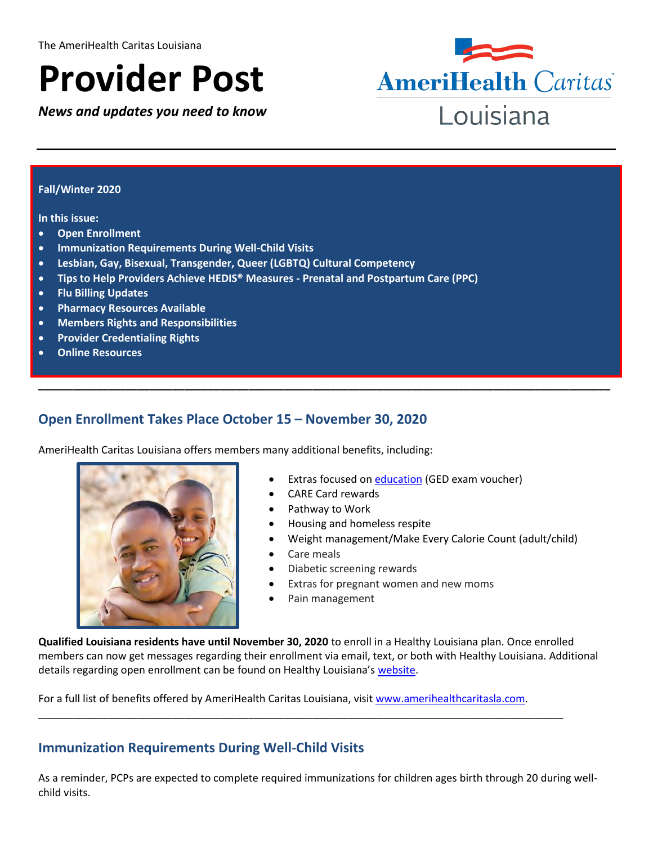# **Provider Post**

*News and updates you need to know*



#### **Fall/Winter 2020**

**In this issue:**

- **Open Enrollment**
- **Immunization Requirements During Well-Child Visits**
- **Lesbian, Gay, Bisexual, Transgender, Queer (LGBTQ) Cultural Competency**
- **Tips to Help Providers Achieve HEDIS® Measures - Prenatal and Postpartum Care (PPC)**
- **Flu Billing Updates**
- **Pharmacy Resources Available**
- **Members Rights and Responsibilities**
- **Provider Credentialing Rights**
- **Online Resources**

## **Open Enrollment Takes Place October 15 – November 30, 2020**

AmeriHealth Caritas Louisiana offers members many additional benefits, including:



- **Extras focused o[n education](http://www.amerihealthcaritasla.com/member/eng/enroll.aspx) (GED exam voucher)**
- CARE Card rewards

**\_\_\_\_\_\_\_\_\_\_\_\_\_\_\_\_\_\_\_\_\_\_\_\_\_\_\_\_\_\_\_\_\_\_\_\_\_\_\_\_\_\_\_\_\_\_\_\_\_\_\_\_\_\_\_\_\_\_\_\_\_\_\_\_\_\_\_\_\_\_\_\_\_\_\_\_\_\_\_\_\_\_\_\_\_\_\_\_\_\_\_\_\_\_\_\_\_\_**

- Pathway to Work
- Housing and homeless respite
- Weight management/Make Every Calorie Count (adult/child)
- Care meals
- Diabetic screening rewards
- Extras for pregnant women and new moms
- Pain management

**Qualified Louisiana residents have until November 30, 2020** to enroll in a Healthy Louisiana plan. Once enrolled members can now get messages regarding their enrollment via email, text, or both with Healthy Louisiana. Additional details regarding open enrollment can be found on Healthy Louisiana's [website.](https://www.myplan.healthy.la.gov/)

For a full list of benefits offered by AmeriHealth Caritas Louisiana, visit [www.amerihealthcaritasla.com.](http://www.amerihealthcaritasla.com/)

\_\_\_\_\_\_\_\_\_\_\_\_\_\_\_\_\_\_\_\_\_\_\_\_\_\_\_\_\_\_\_\_\_\_\_\_\_\_\_\_\_\_\_\_\_\_\_\_\_\_\_\_\_\_\_\_\_\_\_\_\_\_\_\_\_\_\_\_\_\_\_\_\_\_\_\_\_\_\_\_\_\_\_\_\_\_\_\_\_\_

## **Immunization Requirements During Well-Child Visits**

As a reminder, PCPs are expected to complete required immunizations for children ages birth through 20 during wellchild visits.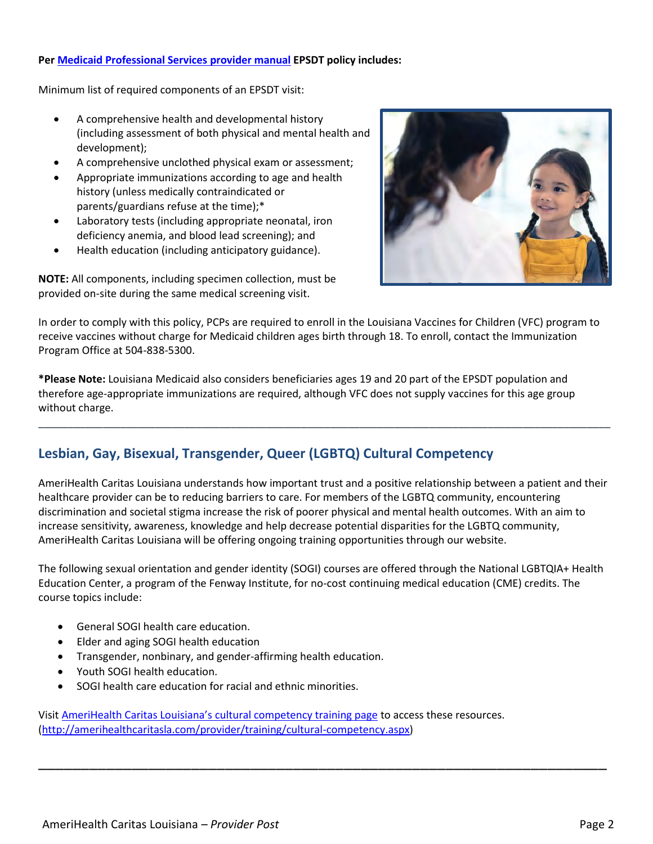#### **Per [Medicaid Professional Services](https://www.lamedicaid.com/provweb1/providermanuals/manuals/PS/PS.pdf) provider manual EPSDT policy includes:**

Minimum list of required components of an EPSDT visit:

- A comprehensive health and developmental history (including assessment of both physical and mental health and development);
- A comprehensive unclothed physical exam or assessment;
- Appropriate immunizations according to age and health history (unless medically contraindicated or parents/guardians refuse at the time);\*
- Laboratory tests (including appropriate neonatal, iron deficiency anemia, and blood lead screening); and
- Health education (including anticipatory guidance).

**NOTE:** All components, including specimen collection, must be provided on-site during the same medical screening visit.



In order to comply with this policy, PCPs are required to enroll in the Louisiana Vaccines for Children (VFC) program to receive vaccines without charge for Medicaid children ages birth through 18. To enroll, contact the Immunization Program Office at 504-838-5300.

**\*Please Note:** Louisiana Medicaid also considers beneficiaries ages 19 and 20 part of the EPSDT population and therefore age-appropriate immunizations are required, although VFC does not supply vaccines for this age group without charge.

## **Lesbian, Gay, Bisexual, Transgender, Queer (LGBTQ) Cultural Competency**

AmeriHealth Caritas Louisiana understands how important trust and a positive relationship between a patient and their healthcare provider can be to reducing barriers to care. For members of the LGBTQ community, encountering discrimination and societal stigma increase the risk of poorer physical and mental health outcomes. With an aim to increase sensitivity, awareness, knowledge and help decrease potential disparities for the LGBTQ community, AmeriHealth Caritas Louisiana will be offering ongoing training opportunities through our website.

\_\_\_\_\_\_\_\_\_\_\_\_\_\_\_\_\_\_\_\_\_\_\_\_\_\_\_\_\_\_\_\_\_\_\_\_\_\_\_\_\_\_\_\_\_\_\_\_\_\_\_\_\_\_\_\_\_\_\_\_\_\_\_\_\_\_\_\_\_\_\_\_\_\_\_\_\_\_\_\_\_\_\_\_\_\_\_\_\_\_\_\_\_\_\_\_\_\_

The following sexual orientation and gender identity (SOGI) courses are offered through the National LGBTQIA+ Health Education Center, a program of the Fenway Institute, for no-cost continuing medical education (CME) credits. The course topics include:

\_\_\_\_\_\_\_\_\_\_\_\_\_\_\_\_\_\_\_\_\_\_\_\_\_\_\_\_\_\_\_\_\_\_\_\_\_\_\_\_\_\_\_\_\_\_\_\_\_\_\_\_\_\_\_\_\_\_\_\_\_\_\_\_\_\_\_

- General SOGI health care education.
- Elder and aging SOGI health education
- Transgender, nonbinary, and gender-affirming health education.
- Youth SOGI health education.
- SOGI health care education for racial and ethnic minorities.

Visit [AmeriHealth Caritas Louisiana's cultural competency training page](http://amerihealthcaritasla.com/provider/training/cultural-competency.aspx) to access these resources. [\(http://amerihealthcaritasla.com/provider/training/cultural-competency.aspx\)](http://amerihealthcaritasla.com/provider/training/cultural-competency.aspx)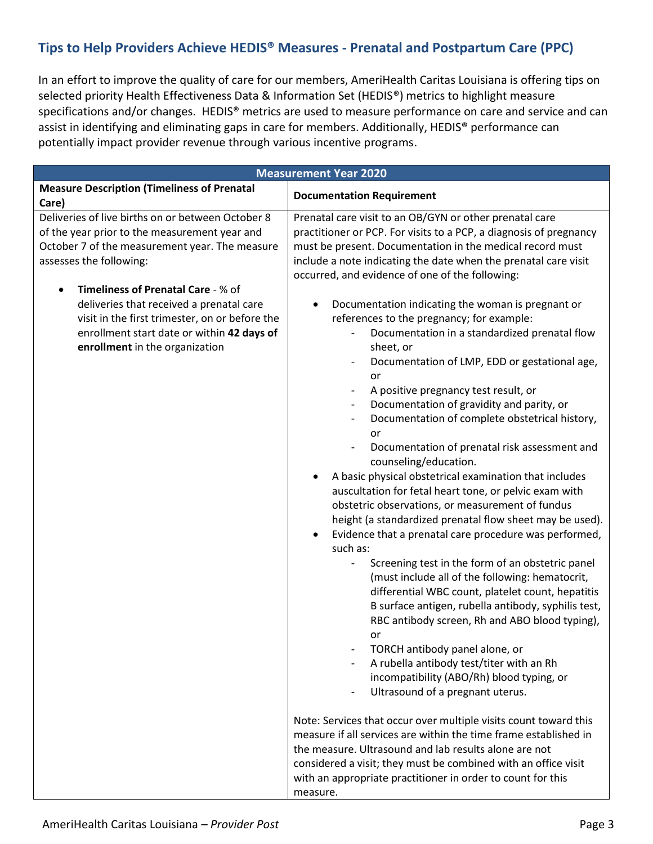# **Tips to Help Providers Achieve HEDIS® Measures - Prenatal and Postpartum Care (PPC)**

In an effort to improve the quality of care for our members, AmeriHealth Caritas Louisiana is offering tips on selected priority Health Effectiveness Data & Information Set (HEDIS®) metrics to highlight measure specifications and/or changes. HEDIS® metrics are used to measure performance on care and service and can assist in identifying and eliminating gaps in care for members. Additionally, HEDIS® performance can potentially impact provider revenue through various incentive programs.

| <b>Measurement Year 2020</b>                                                                                                                                                                                                                                                                                                                                                                                              |                                                                                                                                                                                                                                                                                                                                                                                                                                                                                                                                                                                                                                                                                                                                                                                                                                                                                                                                                                                                                                                                                                                                                                                                                                                                                                                                                                                                                                                                                                                                                                                                                        |  |
|---------------------------------------------------------------------------------------------------------------------------------------------------------------------------------------------------------------------------------------------------------------------------------------------------------------------------------------------------------------------------------------------------------------------------|------------------------------------------------------------------------------------------------------------------------------------------------------------------------------------------------------------------------------------------------------------------------------------------------------------------------------------------------------------------------------------------------------------------------------------------------------------------------------------------------------------------------------------------------------------------------------------------------------------------------------------------------------------------------------------------------------------------------------------------------------------------------------------------------------------------------------------------------------------------------------------------------------------------------------------------------------------------------------------------------------------------------------------------------------------------------------------------------------------------------------------------------------------------------------------------------------------------------------------------------------------------------------------------------------------------------------------------------------------------------------------------------------------------------------------------------------------------------------------------------------------------------------------------------------------------------------------------------------------------------|--|
| <b>Measure Description (Timeliness of Prenatal</b>                                                                                                                                                                                                                                                                                                                                                                        | <b>Documentation Requirement</b>                                                                                                                                                                                                                                                                                                                                                                                                                                                                                                                                                                                                                                                                                                                                                                                                                                                                                                                                                                                                                                                                                                                                                                                                                                                                                                                                                                                                                                                                                                                                                                                       |  |
| Care)<br>Deliveries of live births on or between October 8<br>of the year prior to the measurement year and<br>October 7 of the measurement year. The measure<br>assesses the following:<br>Timeliness of Prenatal Care - % of<br>$\bullet$<br>deliveries that received a prenatal care<br>visit in the first trimester, on or before the<br>enrollment start date or within 42 days of<br>enrollment in the organization | Prenatal care visit to an OB/GYN or other prenatal care<br>practitioner or PCP. For visits to a PCP, a diagnosis of pregnancy<br>must be present. Documentation in the medical record must<br>include a note indicating the date when the prenatal care visit<br>occurred, and evidence of one of the following:<br>Documentation indicating the woman is pregnant or<br>references to the pregnancy; for example:<br>Documentation in a standardized prenatal flow<br>sheet, or<br>Documentation of LMP, EDD or gestational age,<br>or<br>A positive pregnancy test result, or<br>Documentation of gravidity and parity, or<br>Documentation of complete obstetrical history,<br>or<br>Documentation of prenatal risk assessment and<br>counseling/education.<br>A basic physical obstetrical examination that includes<br>auscultation for fetal heart tone, or pelvic exam with<br>obstetric observations, or measurement of fundus<br>height (a standardized prenatal flow sheet may be used).<br>Evidence that a prenatal care procedure was performed,<br>such as:<br>Screening test in the form of an obstetric panel<br>$\qquad \qquad \blacksquare$<br>(must include all of the following: hematocrit,<br>differential WBC count, platelet count, hepatitis<br>B surface antigen, rubella antibody, syphilis test,<br>RBC antibody screen, Rh and ABO blood typing),<br>or<br>TORCH antibody panel alone, or<br>A rubella antibody test/titer with an Rh<br>incompatibility (ABO/Rh) blood typing, or<br>Ultrasound of a pregnant uterus.<br>Note: Services that occur over multiple visits count toward this |  |
|                                                                                                                                                                                                                                                                                                                                                                                                                           | measure if all services are within the time frame established in<br>the measure. Ultrasound and lab results alone are not<br>considered a visit; they must be combined with an office visit<br>with an appropriate practitioner in order to count for this<br>measure.                                                                                                                                                                                                                                                                                                                                                                                                                                                                                                                                                                                                                                                                                                                                                                                                                                                                                                                                                                                                                                                                                                                                                                                                                                                                                                                                                 |  |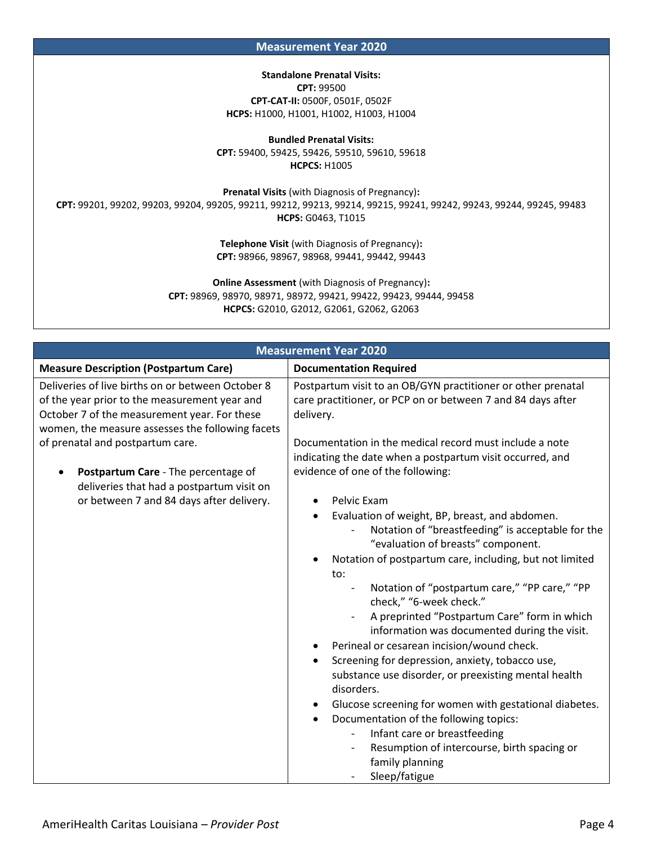**Measurement Year 2020**

#### **Standalone Prenatal Visits:**

**CPT:** 99500 **CPT-CAT-II:** 0500F, 0501F, 0502F **HCPS:** H1000, H1001, H1002, H1003, H1004

**Bundled Prenatal Visits: CPT:** 59400, 59425, 59426, 59510, 59610, 59618 **HCPCS:** H1005

**Prenatal Visits** (with Diagnosis of Pregnancy)**: CPT:** 99201, 99202, 99203, 99204, 99205, 99211, 99212, 99213, 99214, 99215, 99241, 99242, 99243, 99244, 99245, 99483 **HCPS:** G0463, T1015

> **Telephone Visit** (with Diagnosis of Pregnancy)**: CPT:** 98966, 98967, 98968, 99441, 99442, 99443

**Online Assessment** (with Diagnosis of Pregnancy)**: CPT:** 98969, 98970, 98971, 98972, 99421, 99422, 99423, 99444, 99458 **HCPCS:** G2010, G2012, G2061, G2062, G2063

| <b>Measurement Year 2020</b>                                                                                                                                                                           |                                                                                                                                                                                                                                                                                                                                                                                                                                                                                                                                                                                                                                                                                                                                                                                                                                               |  |  |
|--------------------------------------------------------------------------------------------------------------------------------------------------------------------------------------------------------|-----------------------------------------------------------------------------------------------------------------------------------------------------------------------------------------------------------------------------------------------------------------------------------------------------------------------------------------------------------------------------------------------------------------------------------------------------------------------------------------------------------------------------------------------------------------------------------------------------------------------------------------------------------------------------------------------------------------------------------------------------------------------------------------------------------------------------------------------|--|--|
| <b>Measure Description (Postpartum Care)</b>                                                                                                                                                           | <b>Documentation Required</b>                                                                                                                                                                                                                                                                                                                                                                                                                                                                                                                                                                                                                                                                                                                                                                                                                 |  |  |
| Deliveries of live births on or between October 8<br>of the year prior to the measurement year and<br>October 7 of the measurement year. For these<br>women, the measure assesses the following facets | Postpartum visit to an OB/GYN practitioner or other prenatal<br>care practitioner, or PCP on or between 7 and 84 days after<br>delivery.<br>Documentation in the medical record must include a note<br>indicating the date when a postpartum visit occurred, and                                                                                                                                                                                                                                                                                                                                                                                                                                                                                                                                                                              |  |  |
| of prenatal and postpartum care.                                                                                                                                                                       |                                                                                                                                                                                                                                                                                                                                                                                                                                                                                                                                                                                                                                                                                                                                                                                                                                               |  |  |
| Postpartum Care - The percentage of<br>deliveries that had a postpartum visit on                                                                                                                       | evidence of one of the following:                                                                                                                                                                                                                                                                                                                                                                                                                                                                                                                                                                                                                                                                                                                                                                                                             |  |  |
| or between 7 and 84 days after delivery.                                                                                                                                                               | Pelvic Exam<br>Evaluation of weight, BP, breast, and abdomen.<br>Notation of "breastfeeding" is acceptable for the<br>"evaluation of breasts" component.<br>Notation of postpartum care, including, but not limited<br>to:<br>Notation of "postpartum care," "PP care," "PP<br>$\overline{\phantom{a}}$<br>check," "6-week check."<br>A preprinted "Postpartum Care" form in which<br>information was documented during the visit.<br>Perineal or cesarean incision/wound check.<br>Screening for depression, anxiety, tobacco use,<br>$\bullet$<br>substance use disorder, or preexisting mental health<br>disorders.<br>Glucose screening for women with gestational diabetes.<br>Documentation of the following topics:<br>Infant care or breastfeeding<br>Resumption of intercourse, birth spacing or<br>family planning<br>Sleep/fatigue |  |  |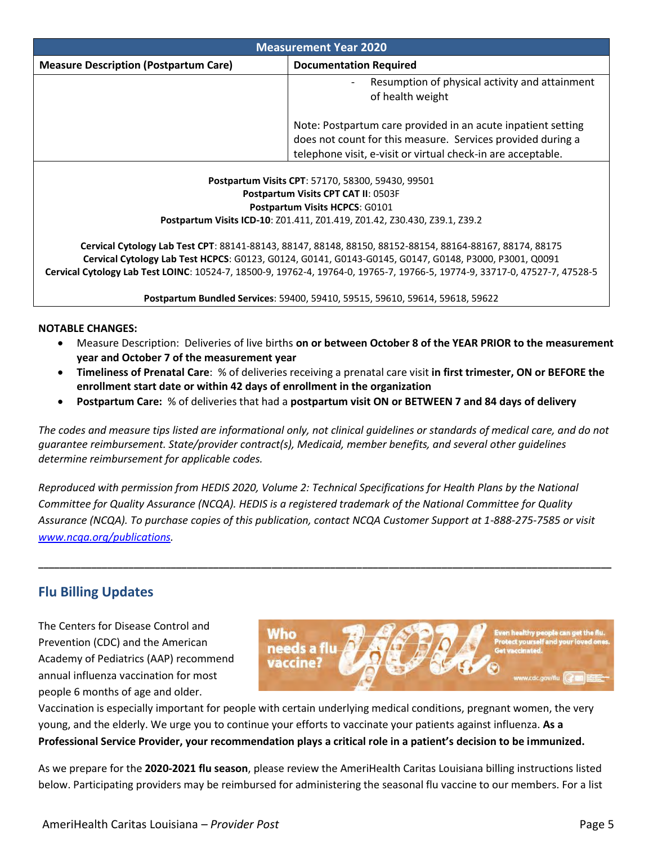| <b>Measurement Year 2020</b>                                                                                                                                                                                      |                                                                                                                                                                                             |  |
|-------------------------------------------------------------------------------------------------------------------------------------------------------------------------------------------------------------------|---------------------------------------------------------------------------------------------------------------------------------------------------------------------------------------------|--|
| <b>Measure Description (Postpartum Care)</b>                                                                                                                                                                      | <b>Documentation Required</b>                                                                                                                                                               |  |
|                                                                                                                                                                                                                   | Resumption of physical activity and attainment<br>$\overline{\phantom{a}}$<br>of health weight                                                                                              |  |
|                                                                                                                                                                                                                   | Note: Postpartum care provided in an acute inpatient setting<br>does not count for this measure. Services provided during a<br>telephone visit, e-visit or virtual check-in are acceptable. |  |
| Postpartum Visits CPT: 57170, 58300, 59430, 99501<br>Postpartum Visits CPT CAT II: 0503F<br><b>Postpartum Visits HCPCS: G0101</b><br>Postpartum Visits ICD-10: Z01.411, Z01.419, Z01.42, Z30.430, Z39.1, Z39.2    |                                                                                                                                                                                             |  |
| Cervical Cytology Lab Test CPT: 88141-88143, 88147, 88148, 88150, 88152-88154, 88164-88167, 88174, 88175<br>Comical Cutology Lab Test HCDCS: C0133, C0134, C0141, C0142, C0145, C0147, C0149, D2000, D2001, O0001 |                                                                                                                                                                                             |  |

**Cervical Cytology Lab Test HCPCS**: G0123, G0124, G0141, G0143-G0145, G0147, G0148, P3000, P3001, Q0091 **Cervical Cytology Lab Test LOINC**: 10524-7, 18500-9, 19762-4, 19764-0, 19765-7, 19766-5, 19774-9, 33717-0, 47527-7, 47528-5

**Postpartum Bundled Services**: 59400, 59410, 59515, 59610, 59614, 59618, 59622

#### **NOTABLE CHANGES:**

- Measure Description: Deliveries of live births **on or between October 8 of the YEAR PRIOR to the measurement year and October 7 of the measurement year**
- **Timeliness of Prenatal Care**: % of deliveries receiving a prenatal care visit **in first trimester, ON or BEFORE the enrollment start date or within 42 days of enrollment in the organization**
- **Postpartum Care:** % of deliveries that had a **postpartum visit ON or BETWEEN 7 and 84 days of delivery**

*The codes and measure tips listed are informational only, not clinical guidelines or standards of medical care, and do not guarantee reimbursement. State/provider contract(s), Medicaid, member benefits, and several other guidelines determine reimbursement for applicable codes.*

*Reproduced with permission from HEDIS 2020, Volume 2: Technical Specifications for Health Plans by the National Committee for Quality Assurance (NCQA). HEDIS is a registered trademark of the National Committee for Quality Assurance (NCQA). To purchase copies of this publication, contact NCQA Customer Support at 1-888-275-7585 or visit [www.ncqa.org/publications.](http://www.ncqa.org/publications)*

**\_\_\_\_\_\_\_\_\_\_\_\_\_\_\_\_\_\_\_\_\_\_\_\_\_\_\_\_\_\_\_\_\_\_\_\_\_\_\_\_\_\_\_\_\_\_\_\_\_\_\_\_\_\_\_\_\_\_\_\_\_\_\_\_\_\_\_\_\_\_\_\_\_\_\_\_\_\_\_\_\_\_\_\_\_\_\_\_\_\_\_\_\_\_\_\_\_\_\_\_\_\_\_\_\_\_\_\_**

## **Flu Billing Updates**

The Centers for Disease Control and Prevention (CDC) and the American Academy of Pediatrics (AAP) recommend annual influenza vaccination for most people 6 months of age and older.



Vaccination is especially important for people with certain underlying medical conditions, pregnant women, the very young, and the elderly. We urge you to continue your efforts to vaccinate your patients against influenza. **As a Professional Service Provider, your recommendation plays a critical role in a patient's decision to be immunized.**

As we prepare for the **2020-2021 flu season**, please review the AmeriHealth Caritas Louisiana billing instructions listed below. Participating providers may be reimbursed for administering the seasonal flu vaccine to our members. For a list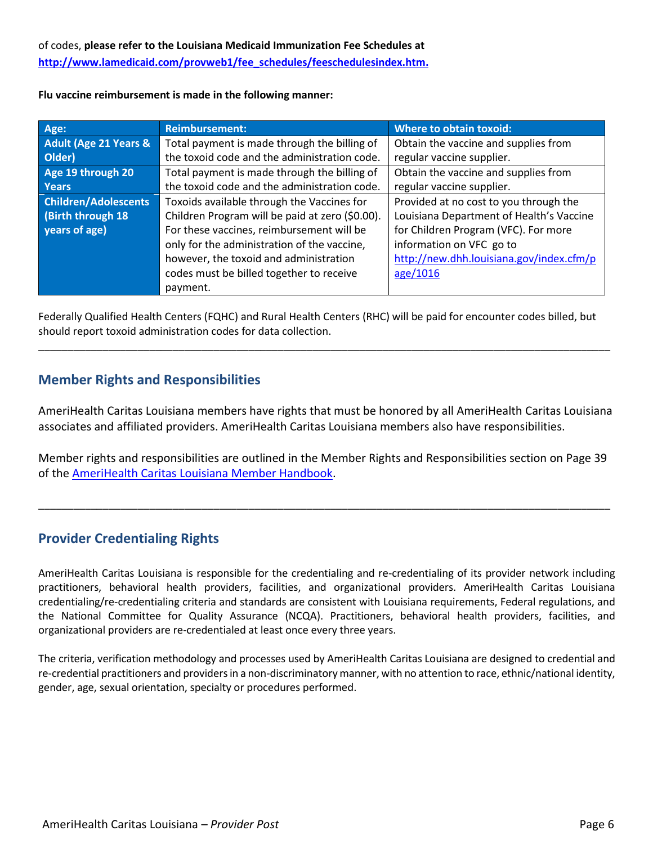**Flu vaccine reimbursement is made in the following manner:** 

| Age:                        | <b>Reimbursement:</b>                           | <b>Where to obtain toxoid:</b>           |
|-----------------------------|-------------------------------------------------|------------------------------------------|
| Adult (Age 21 Years &       | Total payment is made through the billing of    | Obtain the vaccine and supplies from     |
| Older)                      | the toxoid code and the administration code.    | regular vaccine supplier.                |
| Age 19 through 20           | Total payment is made through the billing of    | Obtain the vaccine and supplies from     |
| <b>Years</b>                | the toxoid code and the administration code.    | regular vaccine supplier.                |
| <b>Children/Adolescents</b> | Toxoids available through the Vaccines for      | Provided at no cost to you through the   |
| (Birth through 18)          | Children Program will be paid at zero (\$0.00). | Louisiana Department of Health's Vaccine |
| years of age)               | For these vaccines, reimbursement will be       | for Children Program (VFC). For more     |
|                             | only for the administration of the vaccine,     | information on VFC go to                 |
|                             | however, the toxoid and administration          | http://new.dhh.louisiana.gov/index.cfm/p |
|                             | codes must be billed together to receive        | age/1016                                 |
|                             | payment.                                        |                                          |

Federally Qualified Health Centers (FQHC) and Rural Health Centers (RHC) will be paid for encounter codes billed, but should report toxoid administration codes for data collection.

\_\_\_\_\_\_\_\_\_\_\_\_\_\_\_\_\_\_\_\_\_\_\_\_\_\_\_\_\_\_\_\_\_\_\_\_\_\_\_\_\_\_\_\_\_\_\_\_\_\_\_\_\_\_\_\_\_\_\_\_\_\_\_\_\_\_\_\_\_\_\_\_\_\_\_\_\_\_\_\_\_\_\_\_\_\_\_\_\_\_\_\_\_\_\_\_\_\_

## **Member Rights and Responsibilities**

AmeriHealth Caritas Louisiana members have rights that must be honored by all AmeriHealth Caritas Louisiana associates and affiliated providers. AmeriHealth Caritas Louisiana members also have responsibilities.

Member rights and responsibilities are outlined in the Member Rights and Responsibilities section on Page 39 of th[e AmeriHealth Caritas Louisiana Member Handbook.](http://www.amerihealthcaritasla.com/member/eng/getting-started/index.aspx)

\_\_\_\_\_\_\_\_\_\_\_\_\_\_\_\_\_\_\_\_\_\_\_\_\_\_\_\_\_\_\_\_\_\_\_\_\_\_\_\_\_\_\_\_\_\_\_\_\_\_\_\_\_\_\_\_\_\_\_\_\_\_\_\_\_\_\_\_\_\_\_\_\_\_\_\_\_\_\_\_\_\_\_\_\_\_\_\_\_\_\_\_\_\_\_\_\_\_

## **Provider Credentialing Rights**

AmeriHealth Caritas Louisiana is responsible for the credentialing and re-credentialing of its provider network including practitioners, behavioral health providers, facilities, and organizational providers. AmeriHealth Caritas Louisiana credentialing/re-credentialing criteria and standards are consistent with Louisiana requirements, Federal regulations, and the National Committee for Quality Assurance (NCQA). Practitioners, behavioral health providers, facilities, and organizational providers are re-credentialed at least once every three years.

The criteria, verification methodology and processes used by AmeriHealth Caritas Louisiana are designed to credential and re-credential practitioners and providers in a non-discriminatory manner, with no attention to race, ethnic/national identity, gender, age, sexual orientation, specialty or procedures performed.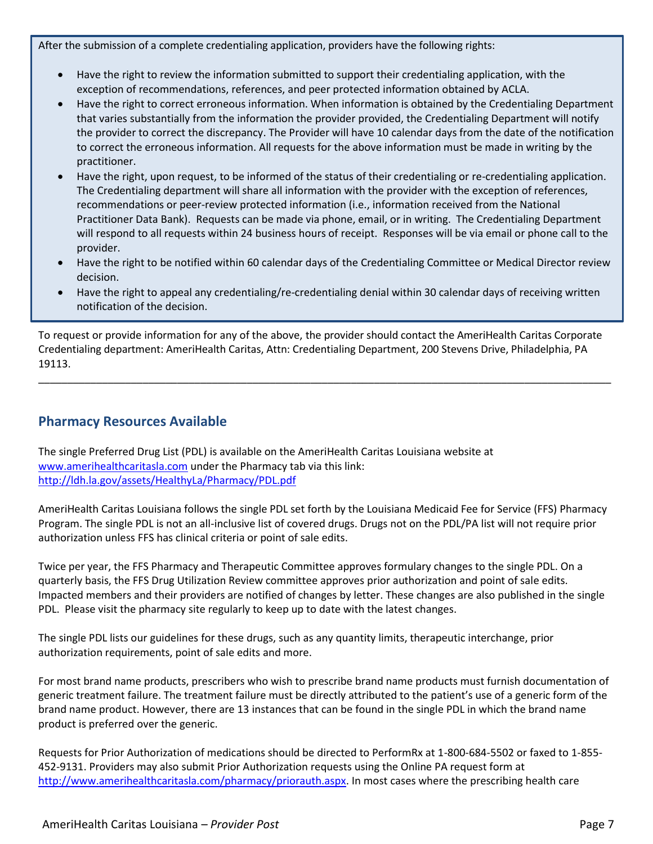After the submission of a complete credentialing application, providers have the following rights:

- Have the right to review the information submitted to support their credentialing application, with the exception of recommendations, references, and peer protected information obtained by ACLA.
- Have the right to correct erroneous information. When information is obtained by the Credentialing Department that varies substantially from the information the provider provided, the Credentialing Department will notify the provider to correct the discrepancy. The Provider will have 10 calendar days from the date of the notification to correct the erroneous information. All requests for the above information must be made in writing by the practitioner.
- Have the right, upon request, to be informed of the status of their credentialing or re-credentialing application. The Credentialing department will share all information with the provider with the exception of references, recommendations or peer-review protected information (i.e., information received from the National Practitioner Data Bank). Requests can be made via phone, email, or in writing. The Credentialing Department will respond to all requests within 24 business hours of receipt. Responses will be via email or phone call to the provider.
- Have the right to be notified within 60 calendar days of the Credentialing Committee or Medical Director review decision.
- Have the right to appeal any credentialing/re-credentialing denial within 30 calendar days of receiving written notification of the decision.

To request or provide information for any of the above, the provider should contact the AmeriHealth Caritas Corporate Credentialing department: AmeriHealth Caritas, Attn: Credentialing Department, 200 Stevens Drive, Philadelphia, PA 19113.

\_\_\_\_\_\_\_\_\_\_\_\_\_\_\_\_\_\_\_\_\_\_\_\_\_\_\_\_\_\_\_\_\_\_\_\_\_\_\_\_\_\_\_\_\_\_\_\_\_\_\_\_\_\_\_\_\_\_\_\_\_\_\_\_\_\_\_\_\_\_\_\_\_\_\_\_\_\_\_\_\_\_\_\_\_\_\_\_\_\_\_\_\_\_\_\_\_\_\_

## **Pharmacy Resources Available**

The single Preferred Drug List (PDL) is available on the AmeriHealth Caritas Louisiana website at [www.amerihealthcaritasla.com](http://www.amerihealthcaritasla.com/) under the Pharmacy tab via this link: <http://ldh.la.gov/assets/HealthyLa/Pharmacy/PDL.pdf>

AmeriHealth Caritas Louisiana follows the single PDL set forth by the Louisiana Medicaid Fee for Service (FFS) Pharmacy Program. The single PDL is not an all-inclusive list of covered drugs. Drugs not on the PDL/PA list will not require prior authorization unless FFS has clinical criteria or point of sale edits.

Twice per year, the FFS Pharmacy and Therapeutic Committee approves formulary changes to the single PDL. On a quarterly basis, the FFS Drug Utilization Review committee approves prior authorization and point of sale edits. Impacted members and their providers are notified of changes by letter. These changes are also published in the single PDL. Please visit the pharmacy site regularly to keep up to date with the latest changes.

The single PDL lists our guidelines for these drugs, such as any quantity limits, therapeutic interchange, prior authorization requirements, point of sale edits and more.

For most brand name products, prescribers who wish to prescribe brand name products must furnish documentation of generic treatment failure. The treatment failure must be directly attributed to the patient's use of a generic form of the brand name product. However, there are 13 instances that can be found in the single PDL in which the brand name product is preferred over the generic.

Requests for Prior Authorization of medications should be directed to PerformRx at 1-800-684-5502 or faxed to 1-855- 452-9131. Providers may also submit Prior Authorization requests using the Online PA request form at [http://www.amerihealthcaritasla.com/pharmacy/priorauth.aspx.](http://www.amerihealthcaritasla.com/pharmacy/priorauth.aspx) In most cases where the prescribing health care